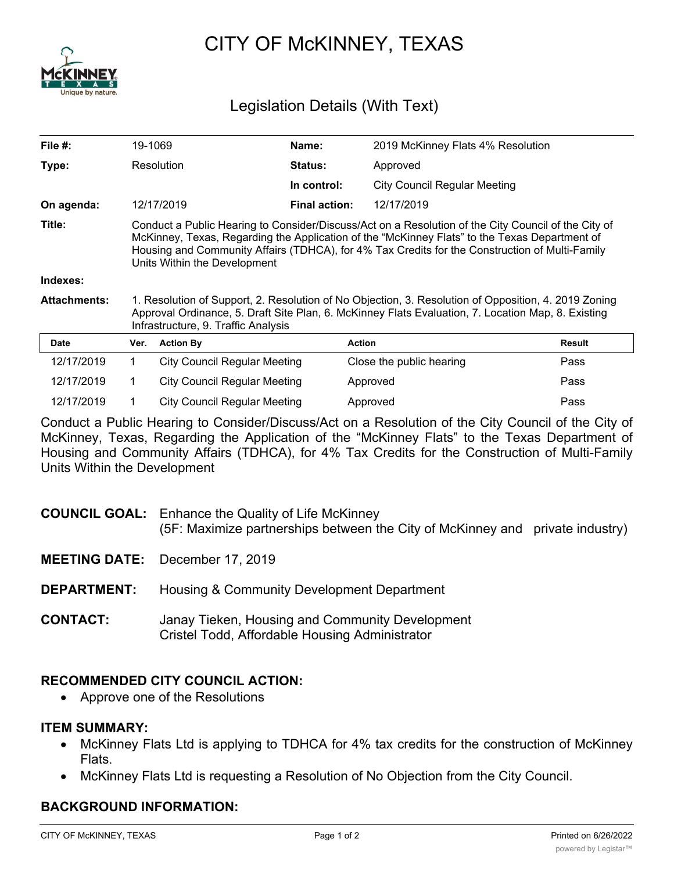

# CITY OF McKINNEY, TEXAS

# Legislation Details (With Text)

| File #:             |                                                                                                                                                                                                                                                                                                                                        | 19-1069                             | Name:                | 2019 McKinney Flats 4% Resolution   |               |  |
|---------------------|----------------------------------------------------------------------------------------------------------------------------------------------------------------------------------------------------------------------------------------------------------------------------------------------------------------------------------------|-------------------------------------|----------------------|-------------------------------------|---------------|--|
| Type:               | Resolution                                                                                                                                                                                                                                                                                                                             |                                     | <b>Status:</b>       | Approved                            |               |  |
|                     |                                                                                                                                                                                                                                                                                                                                        |                                     | In control:          | <b>City Council Regular Meeting</b> |               |  |
| On agenda:          |                                                                                                                                                                                                                                                                                                                                        | 12/17/2019                          | <b>Final action:</b> | 12/17/2019                          |               |  |
| Title:              | Conduct a Public Hearing to Consider/Discuss/Act on a Resolution of the City Council of the City of<br>McKinney, Texas, Regarding the Application of the "McKinney Flats" to the Texas Department of<br>Housing and Community Affairs (TDHCA), for 4% Tax Credits for the Construction of Multi-Family<br>Units Within the Development |                                     |                      |                                     |               |  |
| Indexes:            |                                                                                                                                                                                                                                                                                                                                        |                                     |                      |                                     |               |  |
| <b>Attachments:</b> | 1. Resolution of Support, 2. Resolution of No Objection, 3. Resolution of Opposition, 4. 2019 Zoning<br>Approval Ordinance, 5. Draft Site Plan, 6. McKinney Flats Evaluation, 7. Location Map, 8. Existing<br>Infrastructure, 9. Traffic Analysis                                                                                      |                                     |                      |                                     |               |  |
| Date                | Ver.                                                                                                                                                                                                                                                                                                                                   | <b>Action By</b>                    |                      | <b>Action</b>                       | <b>Result</b> |  |
| 12/17/2019          | 1.                                                                                                                                                                                                                                                                                                                                     | <b>City Council Regular Meeting</b> |                      | Close the public hearing            | Pass          |  |
| 12/17/2019          | 1.                                                                                                                                                                                                                                                                                                                                     | <b>City Council Regular Meeting</b> |                      | Approved                            | Pass          |  |
| 12/17/2019          |                                                                                                                                                                                                                                                                                                                                        | City Council Regular Meeting        |                      | Approved                            | Pass          |  |

Conduct a Public Hearing to Consider/Discuss/Act on a Resolution of the City Council of the City of McKinney, Texas, Regarding the Application of the "McKinney Flats" to the Texas Department of Housing and Community Affairs (TDHCA), for 4% Tax Credits for the Construction of Multi-Family Units Within the Development

- **COUNCIL GOAL:** Enhance the Quality of Life McKinney (5F: Maximize partnerships between the City of McKinney and private industry)
- **MEETING DATE:** December 17, 2019
- **DEPARTMENT:** Housing & Community Development Department
- **CONTACT:** Janay Tieken, Housing and Community Development Cristel Todd, Affordable Housing Administrator

## **RECOMMENDED CITY COUNCIL ACTION:**

· Approve one of the Resolutions

#### **ITEM SUMMARY:**

- McKinney Flats Ltd is applying to TDHCA for 4% tax credits for the construction of McKinney Flats.
- · McKinney Flats Ltd is requesting a Resolution of No Objection from the City Council.

## **BACKGROUND INFORMATION:**